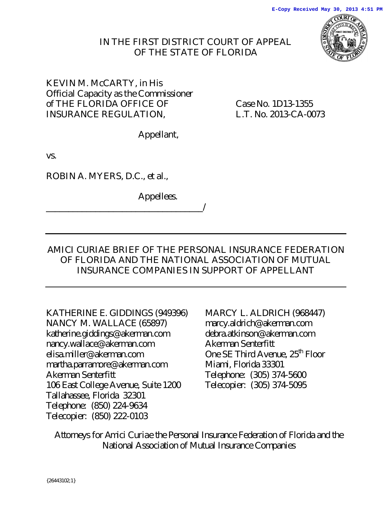### IN THE FIRST DISTRICT COURT OF APPEAL OF THE STATE OF FLORIDA



### KEVIN M. McCARTY, in His Official Capacity as the Commissioner of THE FLORIDA OFFICE OF Case No. 1D13-1355 INSURANCE REGULATION. L.T. No. 2013-CA-0073

Appellant,

vs.

ROBIN A. MYERS, D.C., et al.,

\_\_\_\_\_\_\_\_\_\_\_\_\_\_\_\_\_\_\_\_\_\_\_\_\_\_\_\_\_\_\_\_\_\_\_/

Appellees.

## *AMICI CURIAE* BRIEF OF THE PERSONAL INSURANCE FEDERATION OF FLORIDA AND THE NATIONAL ASSOCIATION OF MUTUAL INSURANCE COMPANIES IN SUPPORT OF APPELLANT

KATHERINE E. GIDDINGS (949396) NANCY M. WALLACE (65897) katherine.giddings@akerman.com nancy.wallace@akerman.com elisa.miller@akerman.com martha.parramore@akerman.com Akerman Senterfitt 106 East College Avenue, Suite 1200 Tallahassee, Florida 32301 Telephone: (850) 224-9634 Telecopier: (850) 222-0103

MARCY L. ALDRICH (968447) marcy.aldrich@akerman.com debra.atkinson@akerman.com Akerman Senterfitt One SE Third Avenue, 25<sup>th</sup> Floor Miami, Florida 33301 Telephone: (305) 374-5600 Telecopier: (305) 374-5095

Attorneys for *Amici Curiae* the Personal Insurance Federation of Florida and the National Association of Mutual Insurance Companies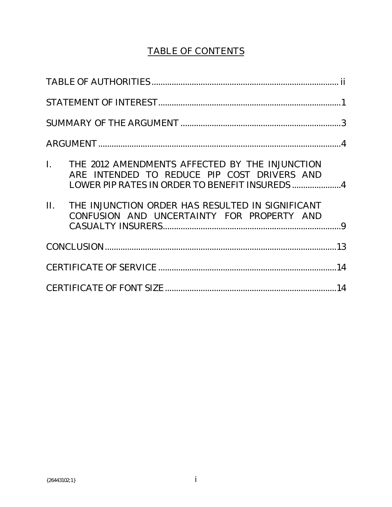# TABLE OF CONTENTS

| $\mathbf{I}$ . | THE 2012 AMENDMENTS AFFECTED BY THE INJUNCTION<br>ARE INTENDED TO REDUCE PIP COST DRIVERS AND      |
|----------------|----------------------------------------------------------------------------------------------------|
|                | II. THE INJUNCTION ORDER HAS RESULTED IN SIGNIFICANT<br>CONFUSION AND UNCERTAINTY FOR PROPERTY AND |
|                |                                                                                                    |
|                |                                                                                                    |
|                |                                                                                                    |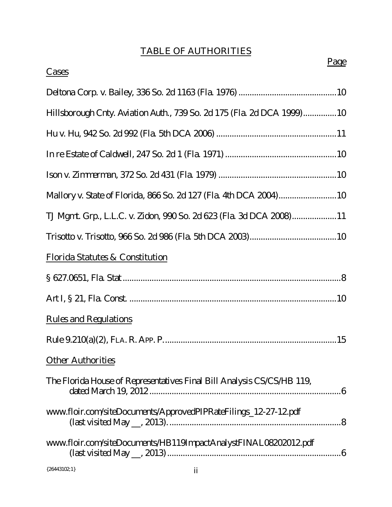# TABLE OF AUTHORITIES

|                                                                        | Page |
|------------------------------------------------------------------------|------|
| Cases                                                                  |      |
|                                                                        |      |
| Hillsborough Cnty. Aviation Auth., 739 So. 2d 175 (Fla. 2d DCA 1999)10 |      |
|                                                                        |      |
|                                                                        |      |
|                                                                        |      |
| Mallory v. State of Florida, 866 So. 2d 127 (Fla. 4th DCA 2004)10      |      |
| TJ Mgmt. Grp., L.L.C. v. Zidon, 990 So. 2d 623 (Fla. 3d DCA 2008)11    |      |
|                                                                        |      |
| <b>Florida Statutes &amp; Constitution</b>                             |      |
|                                                                        |      |
|                                                                        |      |
| <b>Rules and Regulations</b>                                           |      |
|                                                                        |      |
| <b>Other Authorities</b>                                               |      |
| The Florida House of Representatives Final Bill Analysis CS/CS/HB 119, |      |
| www.floir.com/siteDocuments/ApprovedPIPRateFilings_12-27-12.pdf        |      |
| www.floir.com/siteDocuments/HB119ImpactAnalystFINAL08202012.pdf        |      |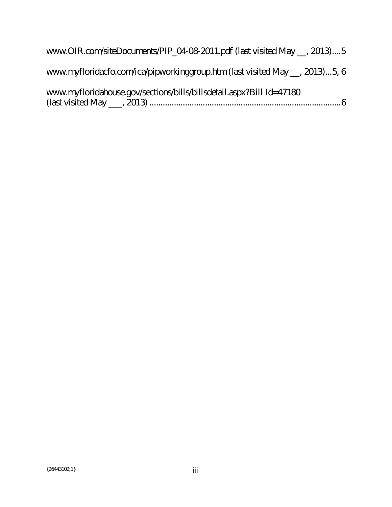www.OIR.com/siteDocuments/PIP\_04-08-2011.pdf (last visited May \_\_, 2013)....5 www.myfloridacfo.com/ica/pipworkinggroup.htm (last visited May \_\_, 2013)...5, 6 www.myfloridahouse.gov/sections/bills/billsdetail.aspx?Bill Id=47180 (last visited May \_\_\_, 2013) ......................................................................................6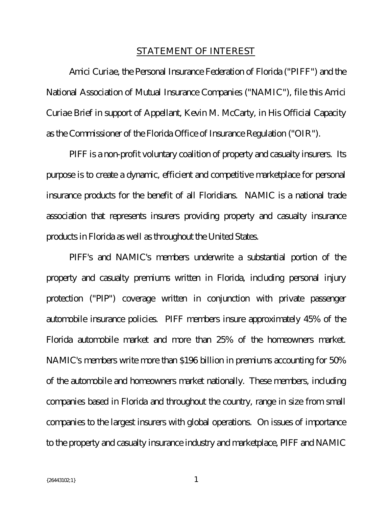#### STATEMENT OF INTEREST

*Amici Curiae*, the Personal Insurance Federation of Florida ("PIFF") and the National Association of Mutual Insurance Companies ("NAMIC"), file this *Amici Curiae* Brief in support of Appellant, Kevin M. McCarty, in His Official Capacity as the Commissioner of the Florida Office of Insurance Regulation ("OIR").

PIFF is a non-profit voluntary coalition of property and casualty insurers. Its purpose is to create a dynamic, efficient and competitive marketplace for personal insurance products for the benefit of all Floridians. NAMIC is a national trade association that represents insurers providing property and casualty insurance products in Florida as well as throughout the United States.

PIFF's and NAMIC's members underwrite a substantial portion of the property and casualty premiums written in Florida, including personal injury protection ("PIP") coverage written in conjunction with private passenger automobile insurance policies. PIFF members insure approximately 45% of the Florida automobile market and more than 25% of the homeowners market. NAMIC's members write more than \$196 billion in premiums accounting for 50% of the automobile and homeowners market nationally. These members, including companies based in Florida and throughout the country, range in size from small companies to the largest insurers with global operations. On issues of importance to the property and casualty insurance industry and marketplace, PIFF and NAMIC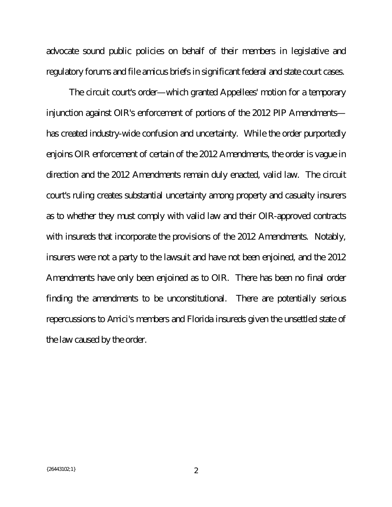advocate sound public policies on behalf of their members in legislative and regulatory forums and file amicus briefs in significant federal and state court cases.

The circuit court's order—which granted Appellees' motion for a temporary injunction against OIR's enforcement of portions of the 2012 PIP Amendments has created industry-wide confusion and uncertainty. While the order purportedly enjoins OIR enforcement of certain of the 2012 Amendments, the order is vague in direction and the 2012 Amendments remain duly enacted, valid law. The circuit court's ruling creates substantial uncertainty among property and casualty insurers as to whether they must comply with valid law and their OIR-approved contracts with insureds that incorporate the provisions of the 2012 Amendments. Notably, insurers were not a party to the lawsuit and have not been enjoined, and the 2012 Amendments have only been enjoined as to OIR. There has been no final order finding the amendments to be unconstitutional. There are potentially serious repercussions to *Amici*'s members and Florida insureds given the unsettled state of the law caused by the order.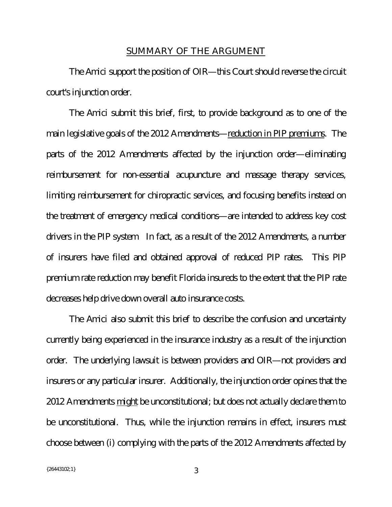#### SUMMARY OF THE ARGUMENT

The *Amici* support the position of OIR—this Court should reverse the circuit court's injunction order.

The *Amici* submit this brief, first, to provide background as to one of the main legislative goals of the 2012 Amendments—reduction in PIP premiums. The parts of the 2012 Amendments affected by the injunction order—eliminating reimbursement for non-essential acupuncture and massage therapy services, limiting reimbursement for chiropractic services, and focusing benefits instead on the treatment of emergency medical conditions—are intended to address key cost drivers in the PIP system In fact, as a result of the 2012 Amendments, a number of insurers have filed and obtained approval of reduced PIP rates. This PIP premium rate reduction may benefit Florida insureds to the extent that the PIP rate decreases help drive down overall auto insurance costs.

The *Amici* also submit this brief to describe the confusion and uncertainty currently being experienced in the insurance industry as a result of the injunction order. The underlying lawsuit is between providers and OIR—not providers and insurers or any particular insurer. Additionally, the injunction order opines that the 2012 Amendments might be unconstitutional; but does not actually declare them to be unconstitutional. Thus, while the injunction remains in effect, insurers must choose between (i) complying with the parts of the 2012 Amendments affected by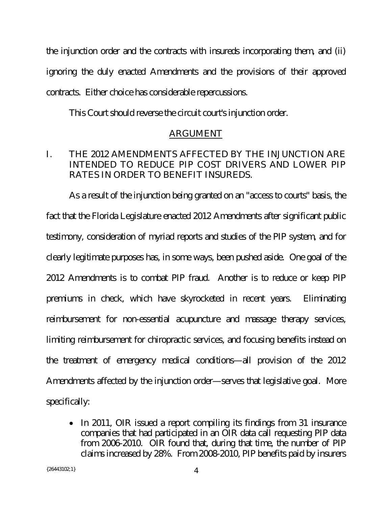the injunction order and the contracts with insureds incorporating them, and (ii) ignoring the duly enacted Amendments and the provisions of their approved contracts. Either choice has considerable repercussions.

This Court should reverse the circuit court's injunction order.

### ARGUMENT

### I. THE 2012 AMENDMENTS AFFECTED BY THE INJUNCTION ARE INTENDED TO REDUCE PIP COST DRIVERS AND LOWER PIP RATES IN ORDER TO BENEFIT INSUREDS.

As a result of the injunction being granted on an "access to courts" basis, the fact that the Florida Legislature enacted 2012 Amendments after significant public testimony, consideration of myriad reports and studies of the PIP system, and for clearly legitimate purposes has, in some ways, been pushed aside. One goal of the 2012 Amendments is to combat PIP fraud. Another is to reduce or keep PIP premiums in check, which have skyrocketed in recent years. Eliminating reimbursement for non-essential acupuncture and massage therapy services, limiting reimbursement for chiropractic services, and focusing benefits instead on the treatment of emergency medical conditions—all provision of the 2012 Amendments affected by the injunction order—serves that legislative goal. More specifically:

• In 2011, OIR issued a report compiling its findings from 31 insurance companies that had participated in an OIR data call requesting PIP data from 2006-2010. OIR found that, during that time, the number of PIP claims increased by 28%. From 2008-2010, PIP benefits paid by insurers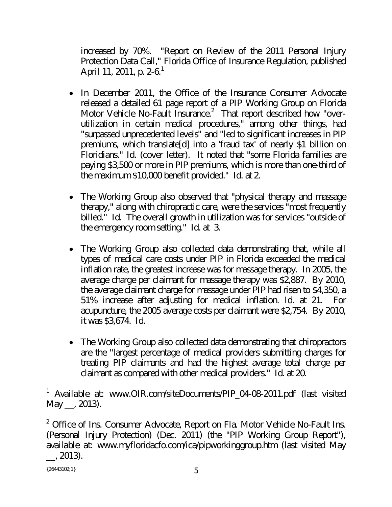increased by 70%. "Report on Review of the 2011 Personal Injury Protection Data Call," Florida Office of Insurance Regulation, published April 11, 2011, p.  $2-6$ <sup>1</sup>

- In December 2011, the Office of the Insurance Consumer Advocate released a detailed 61 page report of a PIP Working Group on Florida Motor Vehicle No-Fault Insurance.<sup>2</sup> That report described how "overutilization in certain medical procedures," among other things, had "surpassed unprecedented levels" and "led to significant increases in PIP premiums, which translate[d] into a 'fraud tax' of nearly \$1 billion on Floridians." *Id.* (cover letter). It noted that "some Florida families are paying \$3,500 or more in PIP premiums, which is more than one-third of the maximum \$10,000 benefit provided." *Id.* at 2.
- The Working Group also observed that "physical therapy and massage therapy," along with chiropractic care, were the services "most frequently billed." *Id.* The overall growth in utilization was for services "outside of the emergency room setting." *Id.* at 3.
- The Working Group also collected data demonstrating that, while all types of medical care costs under PIP in Florida exceeded the medical inflation rate, the greatest increase was for massage therapy. In 2005, the average charge per claimant for massage therapy was \$2,887. By 2010, the average claimant charge for massage under PIP had risen to \$4,350, a 51% increase after adjusting for medical inflation. *Id.* at 21. For acupuncture, the 2005 average costs per claimant were \$2,754. By 2010, it was \$3,674. *Id.*
- The Working Group also collected data demonstrating that chiropractors are the "largest percentage of medical providers submitting charges for treating PIP claimants and had the highest average total charge per claimant as compared with other medical providers." *Id.* at 20.

 ${26443102;1}$  5

<sup>1</sup> *Available at*: www.OIR.com/siteDocuments/PIP\_04-08-2011.pdf (last visited May \_\_, 2013).

<sup>&</sup>lt;sup>2</sup> Office of Ins. Consumer Advocate, Report on Fla. Motor Vehicle No-Fault Ins. (Personal Injury Protection) (Dec. 2011) (the "PIP Working Group Report"), a*vailable at*: www.myfloridacfo.com/ica/pipworkinggroup.htm (last visited May  $\_\_$ , 2013).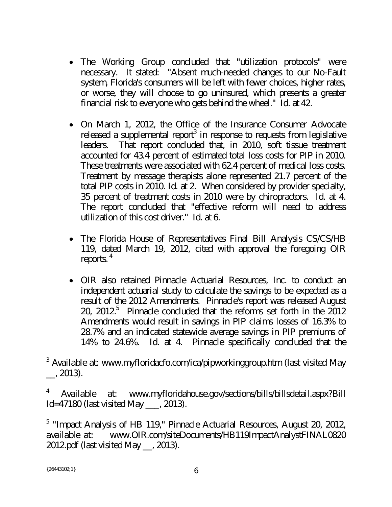- The Working Group concluded that "utilization protocols" were necessary. It stated: "Absent much-needed changes to our No-Fault system, Florida's consumers will be left with fewer choices, higher rates, or worse, they will choose to go uninsured, which presents a greater financial risk to everyone who gets behind the wheel." *Id.* at 42.
- On March 1, 2012, the Office of the Insurance Consumer Advocate released a supplemental report $^3$  in response to requests from legislative leaders. That report concluded that, in 2010, soft tissue treatment accounted for 43.4 percent of estimated total loss costs for PIP in 2010. These treatments were associated with 62.4 percent of medical loss costs. Treatment by massage therapists alone represented 21.7 percent of the total PIP costs in 2010. *Id.* at 2. When considered by provider specialty, 35 percent of treatment costs in 2010 were by chiropractors. *Id.* at 4. The report concluded that "effective reform will need to address utilization of this cost driver." *Id.* at 6.
- The Florida House of Representatives Final Bill Analysis CS/CS/HB 119, dated March 19, 2012, cited with approval the foregoing OIR reports. <sup>4</sup>
- OIR also retained Pinnacle Actuarial Resources, Inc. to conduct an independent actuarial study to calculate the savings to be expected as a result of the 2012 Amendments. Pinnacle's report was released August 20, 2012.<sup>5</sup> Pinnacle concluded that the reforms set forth in the  $2012$ Amendments would result in savings in PIP claims losses of 16.3% to 28.7% and an indicated statewide average savings in PIP premiums of 14% to 24.6%. *Id.* at 4. Pinnacle specifically concluded that the

<sup>3</sup> *Available at*: www.myfloridacfo.com/ica/pipworkinggroup.htm (last visited May \_\_, 2013).

<sup>4</sup> *Available at*: www.myfloridahouse.gov/sections/bills/billsdetail.aspx?Bill Id=47180 (last visited May \_\_\_, 2013).

<sup>&</sup>lt;sup>5</sup> "Impact Analysis of HB 119," Pinnacle Actuarial Resources, August 20, 2012, *available at*: www.OIR.com/siteDocuments/HB119ImpactAnalystFINAL0820 2012.pdf (last visited May \_\_, 2013).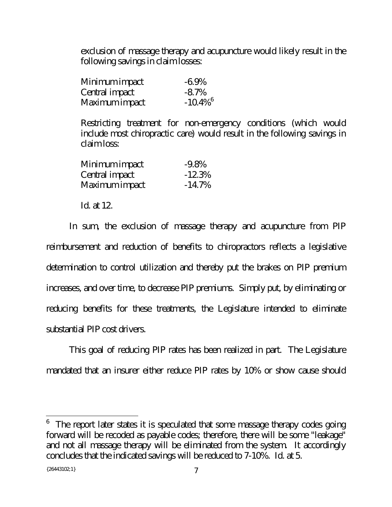exclusion of massage therapy and acupuncture would likely result in the following savings in claim losses:

| Minimum impact | $-6.9\%$               |
|----------------|------------------------|
| Central impact | $-8.7\%$               |
| Maximum impact | $-10.4\%$ <sup>6</sup> |

Restricting treatment for non-emergency conditions (which would include most chiropractic care) would result in the following savings in claim loss:

| Minimum impact | $-9.8\%$  |
|----------------|-----------|
| Central impact | $-12.3%$  |
| Maximum impact | $-14.7\%$ |

### *Id.* at 12.

In sum, the exclusion of massage therapy and acupuncture from PIP reimbursement and reduction of benefits to chiropractors reflects a legislative determination to control utilization and thereby put the brakes on PIP premium increases, and over time, to decrease PIP premiums. Simply put, by eliminating or reducing benefits for these treatments, the Legislature intended to eliminate substantial PIP cost drivers.

This goal of reducing PIP rates has been realized in part. The Legislature mandated that an insurer either reduce PIP rates by 10% or show cause should

 $6$  The report later states it is speculated that some massage therapy codes going forward will be recoded as payable codes; therefore, there will be some "leakage" and not all massage therapy will be eliminated from the system. It accordingly concludes that the indicated savings will be reduced to 7-10%. *Id.* at 5.

#### {26443102;1} 7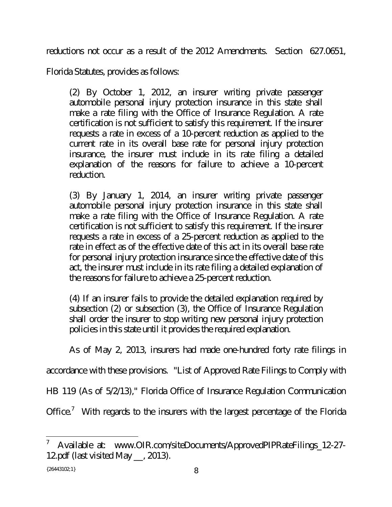reductions not occur as a result of the 2012 Amendments. Section 627.0651,

Florida Statutes, provides as follows:

(2) By October 1, 2012, an insurer writing private passenger automobile personal injury protection insurance in this state shall make a rate filing with the Office of Insurance Regulation. A rate certification is not sufficient to satisfy this requirement. If the insurer requests a rate in excess of a 10-percent reduction as applied to the current rate in its overall base rate for personal injury protection insurance, the insurer must include in its rate filing a detailed explanation of the reasons for failure to achieve a 10-percent reduction.

(3) By January 1, 2014, an insurer writing private passenger automobile personal injury protection insurance in this state shall make a rate filing with the Office of Insurance Regulation. A rate certification is not sufficient to satisfy this requirement. If the insurer requests a rate in excess of a 25-percent reduction as applied to the rate in effect as of the effective date of this act in its overall base rate for personal injury protection insurance since the effective date of this act, the insurer must include in its rate filing a detailed explanation of the reasons for failure to achieve a 25-percent reduction.

(4) If an insurer fails to provide the detailed explanation required by subsection (2) or subsection (3), the Office of Insurance Regulation shall order the insurer to stop writing new personal injury protection policies in this state until it provides the required explanation.

As of May 2, 2013, insurers had made one-hundred forty rate filings in accordance with these provisions. "List of Approved Rate Filings to Comply with HB 119 (As of 5/2/13)," Florida Office of Insurance Regulation Communication Office.<sup>7</sup> With regards to the insurers with the largest percentage of the Florida

<sup>7</sup> Available at: www.OIR.com/siteDocuments/ApprovedPIPRateFilings\_12-27- 12.pdf (last visited May \_\_, 2013).

<sup>{26443102;1}</sup> 8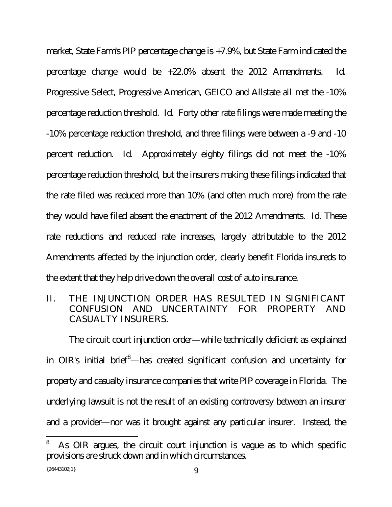market, State Farm's PIP percentage change is +7.9%, but State Farm indicated the percentage change would be +22.0% absent the 2012 Amendments. *Id.* Progressive Select, Progressive American, GEICO and Allstate all met the -10% percentage reduction threshold. *Id.* Forty other rate filings were made meeting the -10% percentage reduction threshold, and three filings were between a -9 and -10 percent reduction. *Id.* Approximately eighty filings did not meet the -10% percentage reduction threshold, but the insurers making these filings indicated that the rate filed was reduced more than 10% (and often much more) from the rate they would have filed absent the enactment of the 2012 Amendments. *Id.* These rate reductions and reduced rate increases, largely attributable to the 2012 Amendments affected by the injunction order, clearly benefit Florida insureds to the extent that they help drive down the overall cost of auto insurance.

II. THE INJUNCTION ORDER HAS RESULTED IN SIGNIFICANT CONFUSION AND UNCERTAINTY FOR PROPERTY AND CASUALTY INSURERS.

The circuit court injunction order—while technically deficient as explained in OIR's initial brief<sup>8</sup>—has created significant confusion and uncertainty for property and casualty insurance companies that write PIP coverage in Florida. The underlying lawsuit is not the result of an existing controversy between an insurer and a provider—nor was it brought against any particular insurer. Instead, the

As OIR argues, the circuit court injunction is vague as to which specific provisions are struck down and in which circumstances.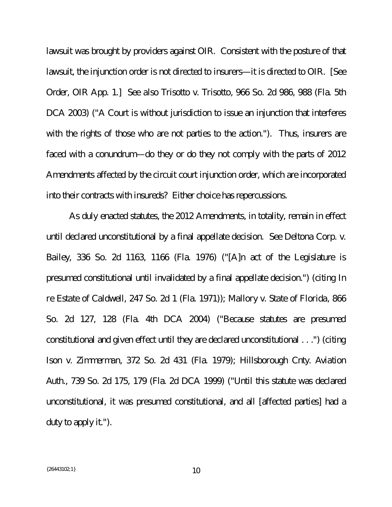lawsuit was brought by providers against OIR. Consistent with the posture of that lawsuit, the injunction order is not directed to insurers—it is directed to OIR. [*See* Order, OIR App. 1.] *See also Trisotto v. Trisotto*, 966 So. 2d 986, 988 (Fla. 5th DCA 2003) ("A Court is without jurisdiction to issue an injunction that interferes with the rights of those who are not parties to the action."). Thus, insurers are faced with a conundrum—do they or do they not comply with the parts of 2012 Amendments affected by the circuit court injunction order, which are incorporated into their contracts with insureds? Either choice has repercussions.

As duly enacted statutes, the 2012 Amendments, in totality, remain in effect until declared unconstitutional by a final appellate decision. *See Deltona Corp. v. Bailey*, 336 So. 2d 1163, 1166 (Fla. 1976) ("[A]n act of the Legislature is presumed constitutional until invalidated by a final appellate decision.") (citing *In re Estate of Caldwell*, 247 So. 2d 1 (Fla. 1971)); *Mallory v. State of Florida*, 866 So. 2d 127, 128 (Fla. 4th DCA 2004) ("Because statutes are presumed constitutional and given effect until they are declared unconstitutional . . .") (citing *Ison v. Zimmerman*, 372 So. 2d 431 (Fla. 1979); *Hillsborough Cnty. Aviation Auth.*, 739 So. 2d 175, 179 (Fla. 2d DCA 1999) ("Until this statute was declared unconstitutional, it was presumed constitutional, and all [affected parties] had a duty to apply it.").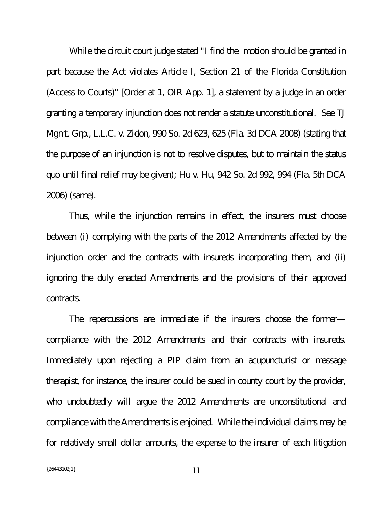While the circuit court judge stated "I find the motion should be granted in part because the Act violates Article I, Section 21 of the Florida Constitution (Access to Courts)" [Order at 1, OIR App. 1], a statement by a judge in an order granting a temporary injunction does not render a statute unconstitutional. *See TJ Mgmt. Grp., L.L.C. v. Zidon,* 990 So. 2d 623, 625 (Fla. 3d DCA 2008) (stating that the purpose of an injunction is not to resolve disputes, but to maintain the status quo until final relief may be given); *Hu v. Hu*, 942 So. 2d 992, 994 (Fla. 5th DCA 2006) (same).

Thus, while the injunction remains in effect, the insurers must choose between (i) complying with the parts of the 2012 Amendments affected by the injunction order and the contracts with insureds incorporating them, and (ii) ignoring the duly enacted Amendments and the provisions of their approved contracts.

The repercussions are immediate if the insurers choose the former compliance with the 2012 Amendments and their contracts with insureds. Immediately upon rejecting a PIP claim from an acupuncturist or massage therapist, for instance, the insurer could be sued in county court by the provider, who undoubtedly will argue the 2012 Amendments are unconstitutional and compliance with the Amendments is enjoined. While the individual claims may be for relatively small dollar amounts, the expense to the insurer of each litigation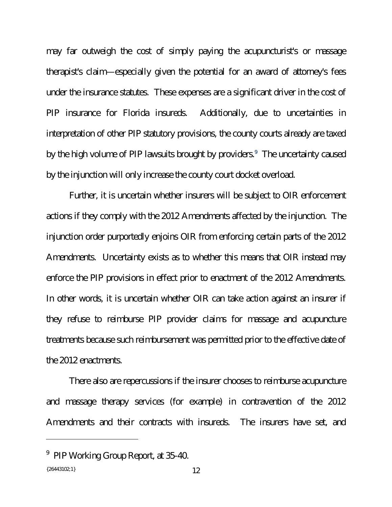may far outweigh the cost of simply paying the acupuncturist's or massage therapist's claim—especially given the potential for an award of attorney's fees under the insurance statutes. These expenses are a significant driver in the cost of PIP insurance for Florida insureds. Additionally, due to uncertainties in interpretation of other PIP statutory provisions, the county courts already are taxed by the high volume of PIP lawsuits brought by providers.<sup>9</sup> The uncertainty caused by the injunction will only increase the county court docket overload.

Further, it is uncertain whether insurers will be subject to OIR enforcement actions if they comply with the 2012 Amendments affected by the injunction. The injunction order purportedly enjoins OIR from enforcing certain parts of the 2012 Amendments. Uncertainty exists as to whether this means that OIR instead may enforce the PIP provisions in effect prior to enactment of the 2012 Amendments. In other words, it is uncertain whether OIR can take action against an insurer if they refuse to reimburse PIP provider claims for massage and acupuncture treatments because such reimbursement was permitted prior to the effective date of the 2012 enactments.

There also are repercussions if the insurer chooses to reimburse acupuncture and massage therapy services (for example) in contravention of the 2012 Amendments and their contracts with insureds. The insurers have set, and

{26443102;1} 12

<sup>&</sup>lt;sup>9</sup> PIP Working Group Report, at 35-40.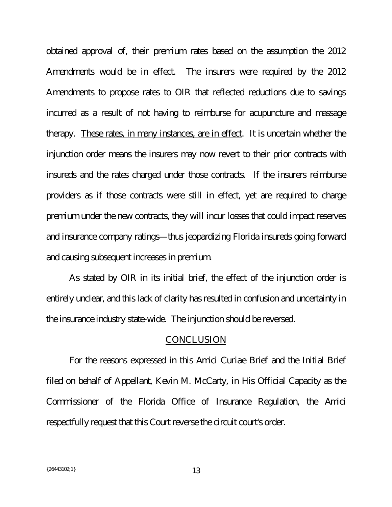obtained approval of, their premium rates based on the assumption the 2012 Amendments would be in effect. The insurers were required by the 2012 Amendments to propose rates to OIR that reflected reductions due to savings incurred as a result of not having to reimburse for acupuncture and massage therapy. These rates, in many instances, are in effect. It is uncertain whether the injunction order means the insurers may now revert to their prior contracts with insureds and the rates charged under those contracts. If the insurers reimburse providers as if those contracts were still in effect, yet are required to charge premium under the new contracts, they will incur losses that could impact reserves and insurance company ratings—thus jeopardizing Florida insureds going forward and causing subsequent increases in premium.

As stated by OIR in its initial brief, the effect of the injunction order is entirely unclear, and this lack of clarity has resulted in confusion and uncertainty in the insurance industry state-wide. The injunction should be reversed.

#### **CONCLUSION**

For the reasons expressed in this *Amici Curiae* Brief and the Initial Brief filed on behalf of Appellant, Kevin M. McCarty, in His Official Capacity as the Commissioner of the Florida Office of Insurance Regulation, the *Amici* respectfully request that this Court reverse the circuit court's order.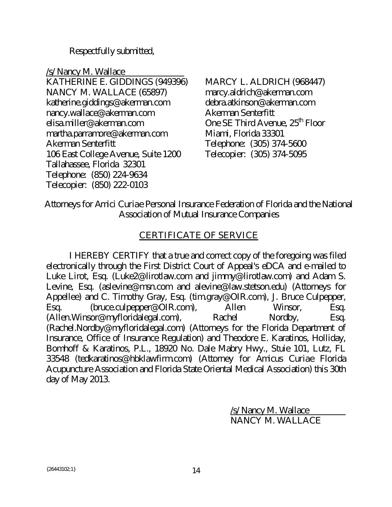Respectfully submitted,

/s/ Nancy M. Wallace KATHERINE E. GIDDINGS (949396) NANCY M. WALLACE (65897) katherine.giddings@akerman.com nancy.wallace@akerman.com elisa.miller@akerman.com martha.parramore@akerman.com Akerman Senterfitt 106 East College Avenue, Suite 1200 Tallahassee, Florida 32301 Telephone: (850) 224-9634 Telecopier: (850) 222-0103

MARCY L. ALDRICH (968447) marcy.aldrich@akerman.com debra.atkinson@akerman.com Akerman Senterfitt One SE Third Avenue, 25<sup>th</sup> Floor Miami, Florida 33301 Telephone: (305) 374-5600 Telecopier: (305) 374-5095

Attorneys for *Amici Curiae* Personal Insurance Federation of Florida and the National Association of Mutual Insurance Companies

## CERTIFICATE OF SERVICE

I HEREBY CERTIFY that a true and correct copy of the foregoing was filed electronically through the First District Court of Appeal's eDCA and e-mailed to Luke Lirot, Esq. (Luke2@lirotlaw.com and jimmy@lirotlaw.com) and Adam S. Levine, Esq. (aslevine@msn.com and alevine@law.stetson.edu) (Attorneys for Appellee) and C. Timothy Gray, Esq. (tim.gray@OIR.com), J. Bruce Culpepper, Esq. (bruce.culpepper@OIR.com), Allen Winsor, Esq.  $(Allen.Win sor@myfloridalegal.com)$ , Rachel Nordby, Esq. (Rachel.Nordby@myfloridalegal.com) (Attorneys for the Florida Department of Insurance, Office of Insurance Regulation) and Theodore E. Karatinos, Holliday, Bomhoff & Karatinos, P.L., 18920 No. Dale Mabry Hwy., Stuie 101, Lutz, FL 33548 (tedkaratinos@hbklawfirm.com) (Attorney for *Amicus Curiae* Florida Acupuncture Association and Florida State Oriental Medical Association) this 30th day of May 2013.

> /s/ Nancy M. Wallace NANCY M. WALLACE